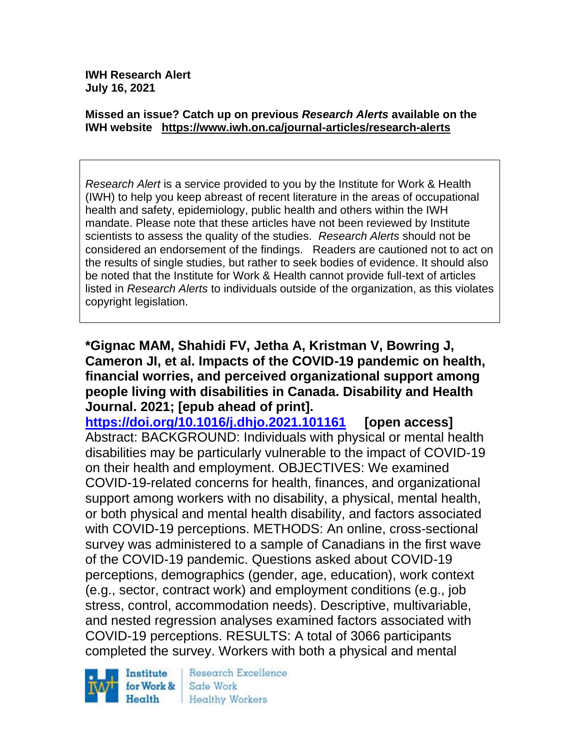**IWH Research Alert July 16, 2021**

#### **Missed an issue? Catch up on previous** *Research Alerts* **available on the [IWH website](http://www.iwh.on.ca/research-alerts) <https://www.iwh.on.ca/journal-articles/research-alerts>**

*Research Alert* is a service provided to you by the Institute for Work & Health (IWH) to help you keep abreast of recent literature in the areas of occupational health and safety, epidemiology, public health and others within the IWH mandate. Please note that these articles have not been reviewed by Institute scientists to assess the quality of the studies. *Research Alerts* should not be considered an endorsement of the findings. Readers are cautioned not to act on the results of single studies, but rather to seek bodies of evidence. It should also be noted that the Institute for Work & Health cannot provide full-text of articles listed in *Research Alerts* to individuals outside of the organization, as this violates copyright legislation.

**\*Gignac MAM, Shahidi FV, Jetha A, Kristman V, Bowring J, Cameron JI, et al. Impacts of the COVID-19 pandemic on health, financial worries, and perceived organizational support among people living with disabilities in Canada. Disability and Health Journal. 2021; [epub ahead of print].**

**<https://doi.org/10.1016/j.dhjo.2021.101161> [open access]** Abstract: BACKGROUND: Individuals with physical or mental health disabilities may be particularly vulnerable to the impact of COVID-19 on their health and employment. OBJECTIVES: We examined COVID-19-related concerns for health, finances, and organizational support among workers with no disability, a physical, mental health, or both physical and mental health disability, and factors associated with COVID-19 perceptions. METHODS: An online, cross-sectional survey was administered to a sample of Canadians in the first wave of the COVID-19 pandemic. Questions asked about COVID-19 perceptions, demographics (gender, age, education), work context (e.g., sector, contract work) and employment conditions (e.g., job stress, control, accommodation needs). Descriptive, multivariable, and nested regression analyses examined factors associated with COVID-19 perceptions. RESULTS: A total of 3066 participants completed the survey. Workers with both a physical and mental



Research Excellence Safe Work **Healthy Workers**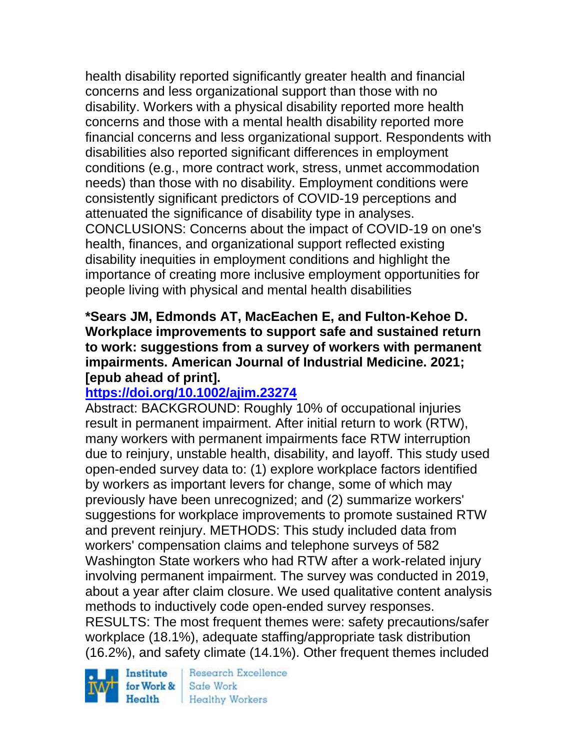health disability reported significantly greater health and financial concerns and less organizational support than those with no disability. Workers with a physical disability reported more health concerns and those with a mental health disability reported more financial concerns and less organizational support. Respondents with disabilities also reported significant differences in employment conditions (e.g., more contract work, stress, unmet accommodation needs) than those with no disability. Employment conditions were consistently significant predictors of COVID-19 perceptions and attenuated the significance of disability type in analyses. CONCLUSIONS: Concerns about the impact of COVID-19 on one's health, finances, and organizational support reflected existing disability inequities in employment conditions and highlight the importance of creating more inclusive employment opportunities for people living with physical and mental health disabilities

### **\*Sears JM, Edmonds AT, MacEachen E, and Fulton-Kehoe D. Workplace improvements to support safe and sustained return to work: suggestions from a survey of workers with permanent impairments. American Journal of Industrial Medicine. 2021; [epub ahead of print].**

# **<https://doi.org/10.1002/ajim.23274>**

Abstract: BACKGROUND: Roughly 10% of occupational injuries result in permanent impairment. After initial return to work (RTW), many workers with permanent impairments face RTW interruption due to reinjury, unstable health, disability, and layoff. This study used open-ended survey data to: (1) explore workplace factors identified by workers as important levers for change, some of which may previously have been unrecognized; and (2) summarize workers' suggestions for workplace improvements to promote sustained RTW and prevent reinjury. METHODS: This study included data from workers' compensation claims and telephone surveys of 582 Washington State workers who had RTW after a work-related injury involving permanent impairment. The survey was conducted in 2019, about a year after claim closure. We used qualitative content analysis methods to inductively code open-ended survey responses. RESULTS: The most frequent themes were: safety precautions/safer workplace (18.1%), adequate staffing/appropriate task distribution (16.2%), and safety climate (14.1%). Other frequent themes included

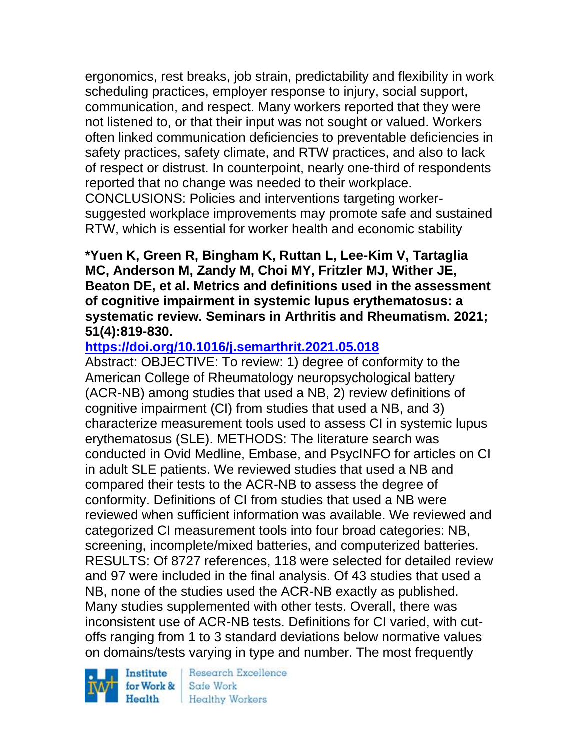ergonomics, rest breaks, job strain, predictability and flexibility in work scheduling practices, employer response to injury, social support, communication, and respect. Many workers reported that they were not listened to, or that their input was not sought or valued. Workers often linked communication deficiencies to preventable deficiencies in safety practices, safety climate, and RTW practices, and also to lack of respect or distrust. In counterpoint, nearly one-third of respondents reported that no change was needed to their workplace. CONCLUSIONS: Policies and interventions targeting workersuggested workplace improvements may promote safe and sustained RTW, which is essential for worker health and economic stability

**\*Yuen K, Green R, Bingham K, Ruttan L, Lee-Kim V, Tartaglia MC, Anderson M, Zandy M, Choi MY, Fritzler MJ, Wither JE, Beaton DE, et al. Metrics and definitions used in the assessment of cognitive impairment in systemic lupus erythematosus: a systematic review. Seminars in Arthritis and Rheumatism. 2021; 51(4):819-830.** 

### **<https://doi.org/10.1016/j.semarthrit.2021.05.018>**

Abstract: OBJECTIVE: To review: 1) degree of conformity to the American College of Rheumatology neuropsychological battery (ACR-NB) among studies that used a NB, 2) review definitions of cognitive impairment (CI) from studies that used a NB, and 3) characterize measurement tools used to assess CI in systemic lupus erythematosus (SLE). METHODS: The literature search was conducted in Ovid Medline, Embase, and PsycINFO for articles on CI in adult SLE patients. We reviewed studies that used a NB and compared their tests to the ACR-NB to assess the degree of conformity. Definitions of CI from studies that used a NB were reviewed when sufficient information was available. We reviewed and categorized CI measurement tools into four broad categories: NB, screening, incomplete/mixed batteries, and computerized batteries. RESULTS: Of 8727 references, 118 were selected for detailed review and 97 were included in the final analysis. Of 43 studies that used a NB, none of the studies used the ACR-NB exactly as published. Many studies supplemented with other tests. Overall, there was inconsistent use of ACR-NB tests. Definitions for CI varied, with cutoffs ranging from 1 to 3 standard deviations below normative values on domains/tests varying in type and number. The most frequently

Institute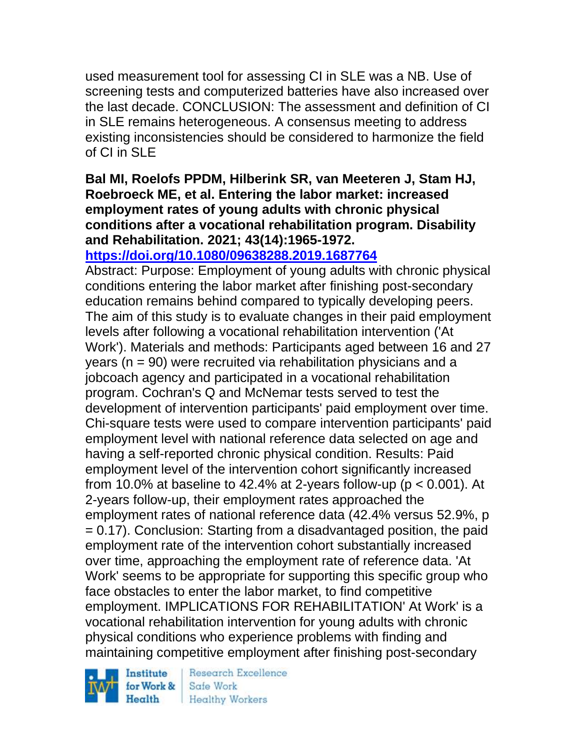used measurement tool for assessing CI in SLE was a NB. Use of screening tests and computerized batteries have also increased over the last decade. CONCLUSION: The assessment and definition of CI in SLE remains heterogeneous. A consensus meeting to address existing inconsistencies should be considered to harmonize the field of CI in SLE

# **Bal MI, Roelofs PPDM, Hilberink SR, van Meeteren J, Stam HJ, Roebroeck ME, et al. Entering the labor market: increased employment rates of young adults with chronic physical conditions after a vocational rehabilitation program. Disability and Rehabilitation. 2021; 43(14):1965-1972.**

**<https://doi.org/10.1080/09638288.2019.1687764>** 

Abstract: Purpose: Employment of young adults with chronic physical conditions entering the labor market after finishing post-secondary education remains behind compared to typically developing peers. The aim of this study is to evaluate changes in their paid employment levels after following a vocational rehabilitation intervention ('At Work'). Materials and methods: Participants aged between 16 and 27 years (n = 90) were recruited via rehabilitation physicians and a jobcoach agency and participated in a vocational rehabilitation program. Cochran's Q and McNemar tests served to test the development of intervention participants' paid employment over time. Chi-square tests were used to compare intervention participants' paid employment level with national reference data selected on age and having a self-reported chronic physical condition. Results: Paid employment level of the intervention cohort significantly increased from 10.0% at baseline to 42.4% at 2-years follow-up ( $p < 0.001$ ). At 2-years follow-up, their employment rates approached the employment rates of national reference data (42.4% versus 52.9%, p = 0.17). Conclusion: Starting from a disadvantaged position, the paid employment rate of the intervention cohort substantially increased over time, approaching the employment rate of reference data. 'At Work' seems to be appropriate for supporting this specific group who face obstacles to enter the labor market, to find competitive employment. IMPLICATIONS FOR REHABILITATION' At Work' is a vocational rehabilitation intervention for young adults with chronic physical conditions who experience problems with finding and maintaining competitive employment after finishing post-secondary

Institute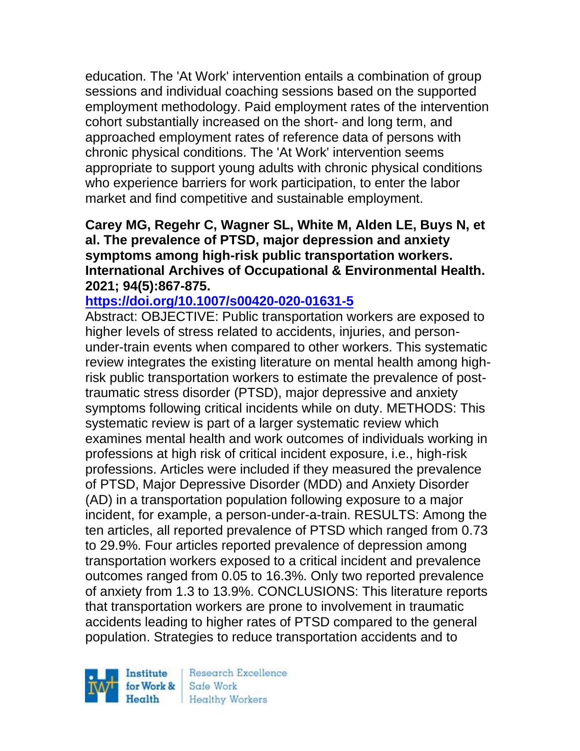education. The 'At Work' intervention entails a combination of group sessions and individual coaching sessions based on the supported employment methodology. Paid employment rates of the intervention cohort substantially increased on the short- and long term, and approached employment rates of reference data of persons with chronic physical conditions. The 'At Work' intervention seems appropriate to support young adults with chronic physical conditions who experience barriers for work participation, to enter the labor market and find competitive and sustainable employment.

#### **Carey MG, Regehr C, Wagner SL, White M, Alden LE, Buys N, et al. The prevalence of PTSD, major depression and anxiety symptoms among high-risk public transportation workers. International Archives of Occupational & Environmental Health. 2021; 94(5):867-875.**

### **<https://doi.org/10.1007/s00420-020-01631-5>**

Abstract: OBJECTIVE: Public transportation workers are exposed to higher levels of stress related to accidents, injuries, and personunder-train events when compared to other workers. This systematic review integrates the existing literature on mental health among highrisk public transportation workers to estimate the prevalence of posttraumatic stress disorder (PTSD), major depressive and anxiety symptoms following critical incidents while on duty. METHODS: This systematic review is part of a larger systematic review which examines mental health and work outcomes of individuals working in professions at high risk of critical incident exposure, i.e., high-risk professions. Articles were included if they measured the prevalence of PTSD, Major Depressive Disorder (MDD) and Anxiety Disorder (AD) in a transportation population following exposure to a major incident, for example, a person-under-a-train. RESULTS: Among the ten articles, all reported prevalence of PTSD which ranged from 0.73 to 29.9%. Four articles reported prevalence of depression among transportation workers exposed to a critical incident and prevalence outcomes ranged from 0.05 to 16.3%. Only two reported prevalence of anxiety from 1.3 to 13.9%. CONCLUSIONS: This literature reports that transportation workers are prone to involvement in traumatic accidents leading to higher rates of PTSD compared to the general population. Strategies to reduce transportation accidents and to

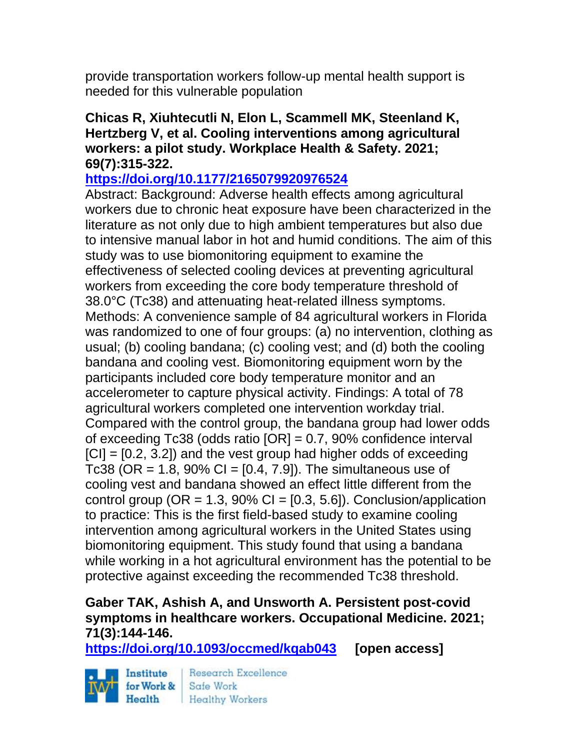provide transportation workers follow-up mental health support is needed for this vulnerable population

### **Chicas R, Xiuhtecutli N, Elon L, Scammell MK, Steenland K, Hertzberg V, et al. Cooling interventions among agricultural workers: a pilot study. Workplace Health & Safety. 2021; 69(7):315-322.**

# **<https://doi.org/10.1177/2165079920976524>**

Abstract: Background: Adverse health effects among agricultural workers due to chronic heat exposure have been characterized in the literature as not only due to high ambient temperatures but also due to intensive manual labor in hot and humid conditions. The aim of this study was to use biomonitoring equipment to examine the effectiveness of selected cooling devices at preventing agricultural workers from exceeding the core body temperature threshold of 38.0°C (Tc38) and attenuating heat-related illness symptoms. Methods: A convenience sample of 84 agricultural workers in Florida was randomized to one of four groups: (a) no intervention, clothing as usual; (b) cooling bandana; (c) cooling vest; and (d) both the cooling bandana and cooling vest. Biomonitoring equipment worn by the participants included core body temperature monitor and an accelerometer to capture physical activity. Findings: A total of 78 agricultural workers completed one intervention workday trial. Compared with the control group, the bandana group had lower odds of exceeding Tc38 (odds ratio [OR] = 0.7, 90% confidence interval  $|CI| = [0.2, 3.2]$  and the vest group had higher odds of exceeding Tc38 (OR = 1.8, 90% CI =  $[0.4, 7.9]$ ). The simultaneous use of cooling vest and bandana showed an effect little different from the control group ( $OR = 1.3$ ,  $90\% CI = [0.3, 5.6]$ ). Conclusion/application to practice: This is the first field-based study to examine cooling intervention among agricultural workers in the United States using biomonitoring equipment. This study found that using a bandana while working in a hot agricultural environment has the potential to be protective against exceeding the recommended Tc38 threshold.

# **Gaber TAK, Ashish A, and Unsworth A. Persistent post-covid symptoms in healthcare workers. Occupational Medicine. 2021; 71(3):144-146.**

**<https://doi.org/10.1093/occmed/kqab043> [open access]**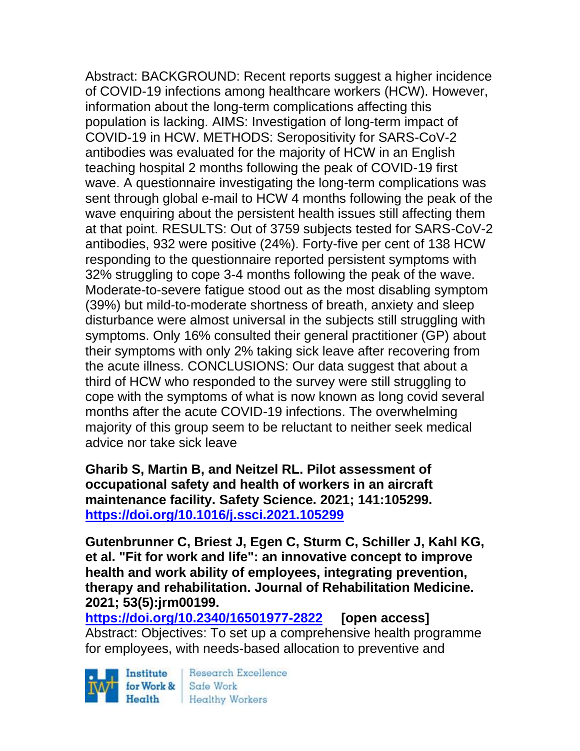Abstract: BACKGROUND: Recent reports suggest a higher incidence of COVID-19 infections among healthcare workers (HCW). However, information about the long-term complications affecting this population is lacking. AIMS: Investigation of long-term impact of COVID-19 in HCW. METHODS: Seropositivity for SARS-CoV-2 antibodies was evaluated for the majority of HCW in an English teaching hospital 2 months following the peak of COVID-19 first wave. A questionnaire investigating the long-term complications was sent through global e-mail to HCW 4 months following the peak of the wave enquiring about the persistent health issues still affecting them at that point. RESULTS: Out of 3759 subjects tested for SARS-CoV-2 antibodies, 932 were positive (24%). Forty-five per cent of 138 HCW responding to the questionnaire reported persistent symptoms with 32% struggling to cope 3-4 months following the peak of the wave. Moderate-to-severe fatigue stood out as the most disabling symptom (39%) but mild-to-moderate shortness of breath, anxiety and sleep disturbance were almost universal in the subjects still struggling with symptoms. Only 16% consulted their general practitioner (GP) about their symptoms with only 2% taking sick leave after recovering from the acute illness. CONCLUSIONS: Our data suggest that about a third of HCW who responded to the survey were still struggling to cope with the symptoms of what is now known as long covid several months after the acute COVID-19 infections. The overwhelming majority of this group seem to be reluctant to neither seek medical advice nor take sick leave

**Gharib S, Martin B, and Neitzel RL. Pilot assessment of occupational safety and health of workers in an aircraft maintenance facility. Safety Science. 2021; 141:105299. <https://doi.org/10.1016/j.ssci.2021.105299>** 

**Gutenbrunner C, Briest J, Egen C, Sturm C, Schiller J, Kahl KG, et al. "Fit for work and life": an innovative concept to improve health and work ability of employees, integrating prevention, therapy and rehabilitation. Journal of Rehabilitation Medicine. 2021; 53(5):jrm00199.**

**<https://doi.org/10.2340/16501977-2822> [open access]** Abstract: Objectives: To set up a comprehensive health programme for employees, with needs-based allocation to preventive and

Institute Health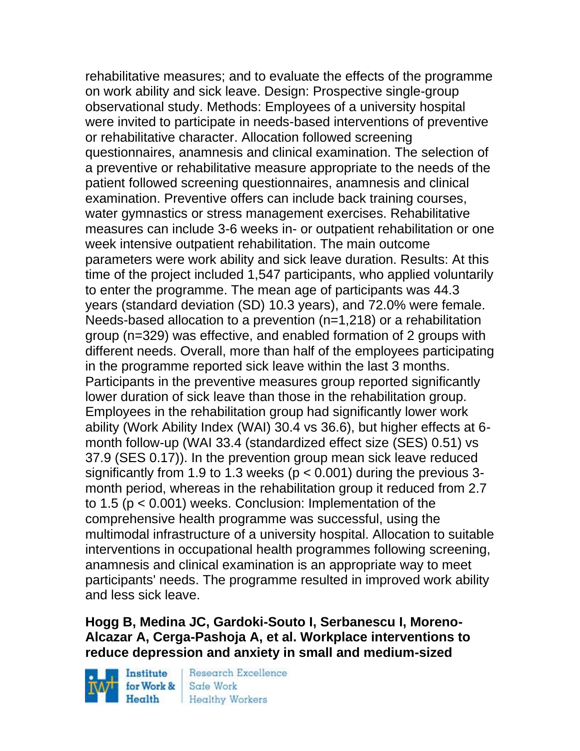rehabilitative measures; and to evaluate the effects of the programme on work ability and sick leave. Design: Prospective single-group observational study. Methods: Employees of a university hospital were invited to participate in needs-based interventions of preventive or rehabilitative character. Allocation followed screening questionnaires, anamnesis and clinical examination. The selection of a preventive or rehabilitative measure appropriate to the needs of the patient followed screening questionnaires, anamnesis and clinical examination. Preventive offers can include back training courses, water gymnastics or stress management exercises. Rehabilitative measures can include 3-6 weeks in- or outpatient rehabilitation or one week intensive outpatient rehabilitation. The main outcome parameters were work ability and sick leave duration. Results: At this time of the project included 1,547 participants, who applied voluntarily to enter the programme. The mean age of participants was 44.3 years (standard deviation (SD) 10.3 years), and 72.0% were female. Needs-based allocation to a prevention (n=1,218) or a rehabilitation group (n=329) was effective, and enabled formation of 2 groups with different needs. Overall, more than half of the employees participating in the programme reported sick leave within the last 3 months. Participants in the preventive measures group reported significantly lower duration of sick leave than those in the rehabilitation group. Employees in the rehabilitation group had significantly lower work ability (Work Ability Index (WAI) 30.4 vs 36.6), but higher effects at 6 month follow-up (WAI 33.4 (standardized effect size (SES) 0.51) vs 37.9 (SES 0.17)). In the prevention group mean sick leave reduced significantly from 1.9 to 1.3 weeks ( $p < 0.001$ ) during the previous 3month period, whereas in the rehabilitation group it reduced from 2.7 to 1.5 (p < 0.001) weeks. Conclusion: Implementation of the comprehensive health programme was successful, using the multimodal infrastructure of a university hospital. Allocation to suitable interventions in occupational health programmes following screening, anamnesis and clinical examination is an appropriate way to meet participants' needs. The programme resulted in improved work ability and less sick leave.

### **Hogg B, Medina JC, Gardoki-Souto I, Serbanescu I, Moreno-Alcazar A, Cerga-Pashoja A, et al. Workplace interventions to reduce depression and anxiety in small and medium-sized**

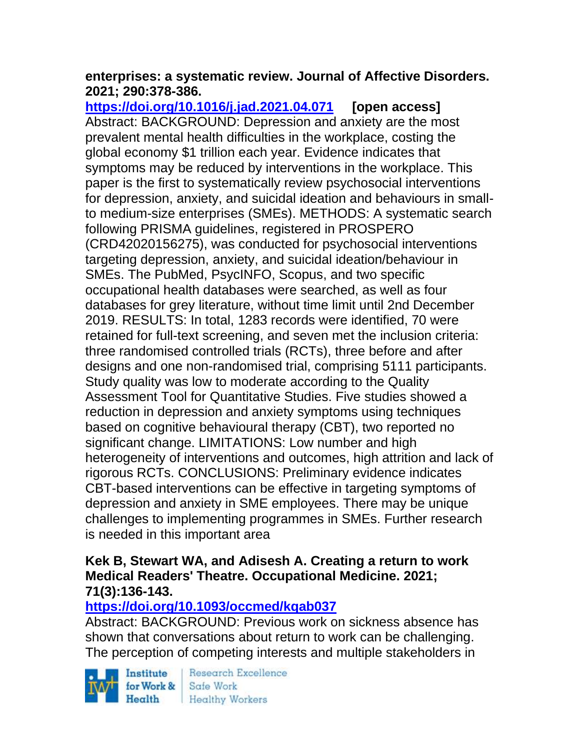### **enterprises: a systematic review. Journal of Affective Disorders. 2021; 290:378-386.**

**<https://doi.org/10.1016/j.jad.2021.04.071> [open access]** Abstract: BACKGROUND: Depression and anxiety are the most prevalent mental health difficulties in the workplace, costing the global economy \$1 trillion each year. Evidence indicates that symptoms may be reduced by interventions in the workplace. This paper is the first to systematically review psychosocial interventions for depression, anxiety, and suicidal ideation and behaviours in smallto medium-size enterprises (SMEs). METHODS: A systematic search following PRISMA guidelines, registered in PROSPERO (CRD42020156275), was conducted for psychosocial interventions targeting depression, anxiety, and suicidal ideation/behaviour in SMEs. The PubMed, PsycINFO, Scopus, and two specific occupational health databases were searched, as well as four databases for grey literature, without time limit until 2nd December 2019. RESULTS: In total, 1283 records were identified, 70 were retained for full-text screening, and seven met the inclusion criteria: three randomised controlled trials (RCTs), three before and after designs and one non-randomised trial, comprising 5111 participants. Study quality was low to moderate according to the Quality Assessment Tool for Quantitative Studies. Five studies showed a reduction in depression and anxiety symptoms using techniques based on cognitive behavioural therapy (CBT), two reported no significant change. LIMITATIONS: Low number and high heterogeneity of interventions and outcomes, high attrition and lack of rigorous RCTs. CONCLUSIONS: Preliminary evidence indicates CBT-based interventions can be effective in targeting symptoms of depression and anxiety in SME employees. There may be unique challenges to implementing programmes in SMEs. Further research is needed in this important area

#### **Kek B, Stewart WA, and Adisesh A. Creating a return to work Medical Readers' Theatre. Occupational Medicine. 2021; 71(3):136-143.**

# **<https://doi.org/10.1093/occmed/kqab037>**

Abstract: BACKGROUND: Previous work on sickness absence has shown that conversations about return to work can be challenging. The perception of competing interests and multiple stakeholders in

Institute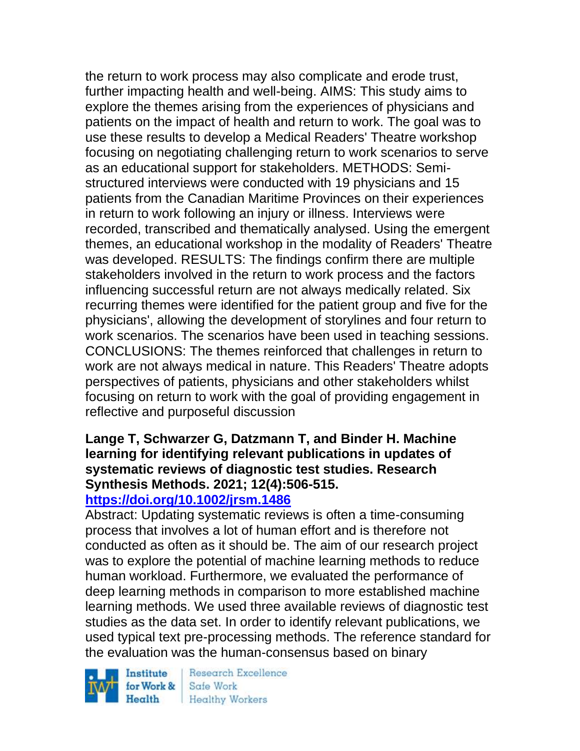the return to work process may also complicate and erode trust, further impacting health and well-being. AIMS: This study aims to explore the themes arising from the experiences of physicians and patients on the impact of health and return to work. The goal was to use these results to develop a Medical Readers' Theatre workshop focusing on negotiating challenging return to work scenarios to serve as an educational support for stakeholders. METHODS: Semistructured interviews were conducted with 19 physicians and 15 patients from the Canadian Maritime Provinces on their experiences in return to work following an injury or illness. Interviews were recorded, transcribed and thematically analysed. Using the emergent themes, an educational workshop in the modality of Readers' Theatre was developed. RESULTS: The findings confirm there are multiple stakeholders involved in the return to work process and the factors influencing successful return are not always medically related. Six recurring themes were identified for the patient group and five for the physicians', allowing the development of storylines and four return to work scenarios. The scenarios have been used in teaching sessions. CONCLUSIONS: The themes reinforced that challenges in return to work are not always medical in nature. This Readers' Theatre adopts perspectives of patients, physicians and other stakeholders whilst focusing on return to work with the goal of providing engagement in reflective and purposeful discussion

#### **Lange T, Schwarzer G, Datzmann T, and Binder H. Machine learning for identifying relevant publications in updates of systematic reviews of diagnostic test studies. Research Synthesis Methods. 2021; 12(4):506-515. <https://doi.org/10.1002/jrsm.1486>**

Abstract: Updating systematic reviews is often a time-consuming process that involves a lot of human effort and is therefore not conducted as often as it should be. The aim of our research project was to explore the potential of machine learning methods to reduce human workload. Furthermore, we evaluated the performance of deep learning methods in comparison to more established machine learning methods. We used three available reviews of diagnostic test studies as the data set. In order to identify relevant publications, we used typical text pre-processing methods. The reference standard for the evaluation was the human-consensus based on binary

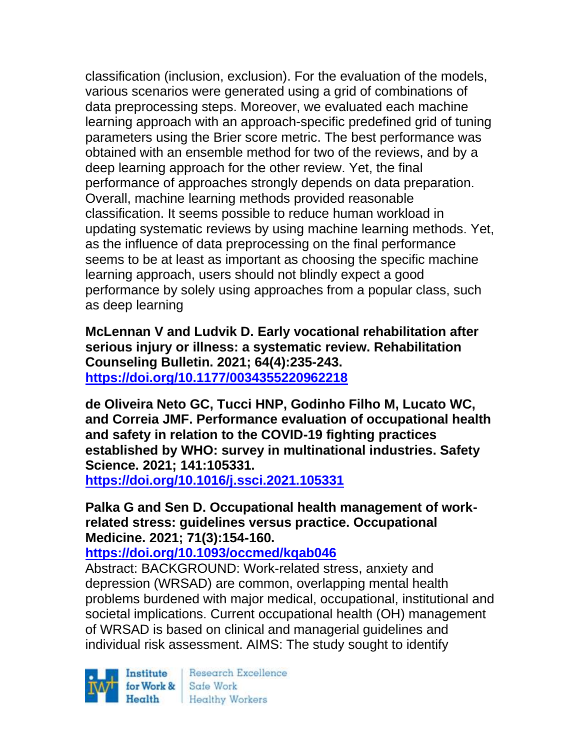classification (inclusion, exclusion). For the evaluation of the models, various scenarios were generated using a grid of combinations of data preprocessing steps. Moreover, we evaluated each machine learning approach with an approach-specific predefined grid of tuning parameters using the Brier score metric. The best performance was obtained with an ensemble method for two of the reviews, and by a deep learning approach for the other review. Yet, the final performance of approaches strongly depends on data preparation. Overall, machine learning methods provided reasonable classification. It seems possible to reduce human workload in updating systematic reviews by using machine learning methods. Yet, as the influence of data preprocessing on the final performance seems to be at least as important as choosing the specific machine learning approach, users should not blindly expect a good performance by solely using approaches from a popular class, such as deep learning

**McLennan V and Ludvik D. Early vocational rehabilitation after serious injury or illness: a systematic review. Rehabilitation Counseling Bulletin. 2021; 64(4):235-243. <https://doi.org/10.1177/0034355220962218>** 

**de Oliveira Neto GC, Tucci HNP, Godinho Filho M, Lucato WC, and Correia JMF. Performance evaluation of occupational health and safety in relation to the COVID-19 fighting practices established by WHO: survey in multinational industries. Safety Science. 2021; 141:105331.**

**<https://doi.org/10.1016/j.ssci.2021.105331>** 

### **Palka G and Sen D. Occupational health management of workrelated stress: guidelines versus practice. Occupational Medicine. 2021; 71(3):154-160.**

**<https://doi.org/10.1093/occmed/kqab046>** 

Abstract: BACKGROUND: Work-related stress, anxiety and depression (WRSAD) are common, overlapping mental health problems burdened with major medical, occupational, institutional and societal implications. Current occupational health (OH) management of WRSAD is based on clinical and managerial guidelines and individual risk assessment. AIMS: The study sought to identify



Research Excellence **Healthy Workers**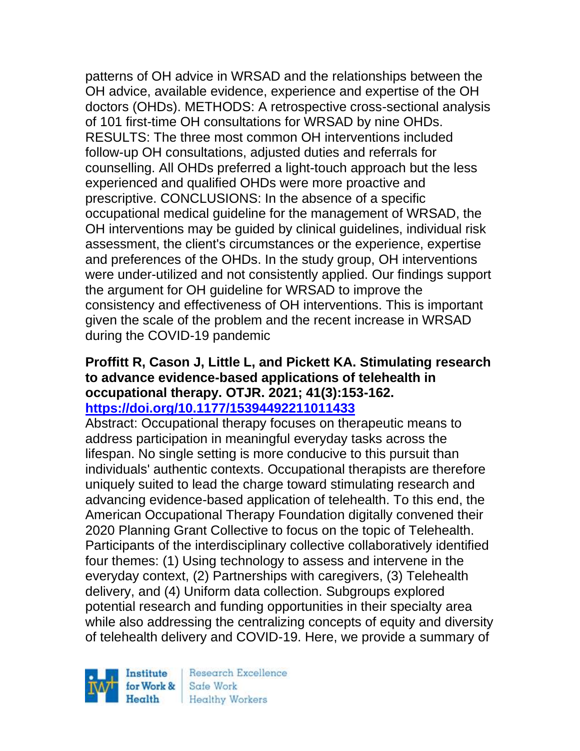patterns of OH advice in WRSAD and the relationships between the OH advice, available evidence, experience and expertise of the OH doctors (OHDs). METHODS: A retrospective cross-sectional analysis of 101 first-time OH consultations for WRSAD by nine OHDs. RESULTS: The three most common OH interventions included follow-up OH consultations, adjusted duties and referrals for counselling. All OHDs preferred a light-touch approach but the less experienced and qualified OHDs were more proactive and prescriptive. CONCLUSIONS: In the absence of a specific occupational medical guideline for the management of WRSAD, the OH interventions may be guided by clinical guidelines, individual risk assessment, the client's circumstances or the experience, expertise and preferences of the OHDs. In the study group, OH interventions were under-utilized and not consistently applied. Our findings support the argument for OH guideline for WRSAD to improve the consistency and effectiveness of OH interventions. This is important given the scale of the problem and the recent increase in WRSAD during the COVID-19 pandemic

#### **Proffitt R, Cason J, Little L, and Pickett KA. Stimulating research to advance evidence-based applications of telehealth in occupational therapy. OTJR. 2021; 41(3):153-162. <https://doi.org/10.1177/15394492211011433>**

Abstract: Occupational therapy focuses on therapeutic means to address participation in meaningful everyday tasks across the lifespan. No single setting is more conducive to this pursuit than individuals' authentic contexts. Occupational therapists are therefore uniquely suited to lead the charge toward stimulating research and advancing evidence-based application of telehealth. To this end, the American Occupational Therapy Foundation digitally convened their 2020 Planning Grant Collective to focus on the topic of Telehealth. Participants of the interdisciplinary collective collaboratively identified four themes: (1) Using technology to assess and intervene in the everyday context, (2) Partnerships with caregivers, (3) Telehealth delivery, and (4) Uniform data collection. Subgroups explored potential research and funding opportunities in their specialty area while also addressing the centralizing concepts of equity and diversity of telehealth delivery and COVID-19. Here, we provide a summary of

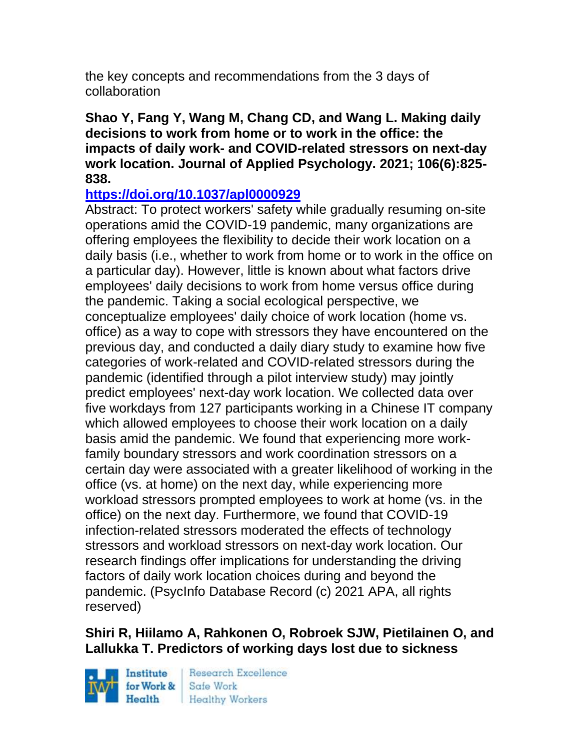the key concepts and recommendations from the 3 days of collaboration

**Shao Y, Fang Y, Wang M, Chang CD, and Wang L. Making daily decisions to work from home or to work in the office: the impacts of daily work- and COVID-related stressors on next-day work location. Journal of Applied Psychology. 2021; 106(6):825- 838.** 

### **<https://doi.org/10.1037/apl0000929>**

Abstract: To protect workers' safety while gradually resuming on-site operations amid the COVID-19 pandemic, many organizations are offering employees the flexibility to decide their work location on a daily basis (i.e., whether to work from home or to work in the office on a particular day). However, little is known about what factors drive employees' daily decisions to work from home versus office during the pandemic. Taking a social ecological perspective, we conceptualize employees' daily choice of work location (home vs. office) as a way to cope with stressors they have encountered on the previous day, and conducted a daily diary study to examine how five categories of work-related and COVID-related stressors during the pandemic (identified through a pilot interview study) may jointly predict employees' next-day work location. We collected data over five workdays from 127 participants working in a Chinese IT company which allowed employees to choose their work location on a daily basis amid the pandemic. We found that experiencing more workfamily boundary stressors and work coordination stressors on a certain day were associated with a greater likelihood of working in the office (vs. at home) on the next day, while experiencing more workload stressors prompted employees to work at home (vs. in the office) on the next day. Furthermore, we found that COVID-19 infection-related stressors moderated the effects of technology stressors and workload stressors on next-day work location. Our research findings offer implications for understanding the driving factors of daily work location choices during and beyond the pandemic. (PsycInfo Database Record (c) 2021 APA, all rights reserved)

# **Shiri R, Hiilamo A, Rahkonen O, Robroek SJW, Pietilainen O, and Lallukka T. Predictors of working days lost due to sickness**

Institute Health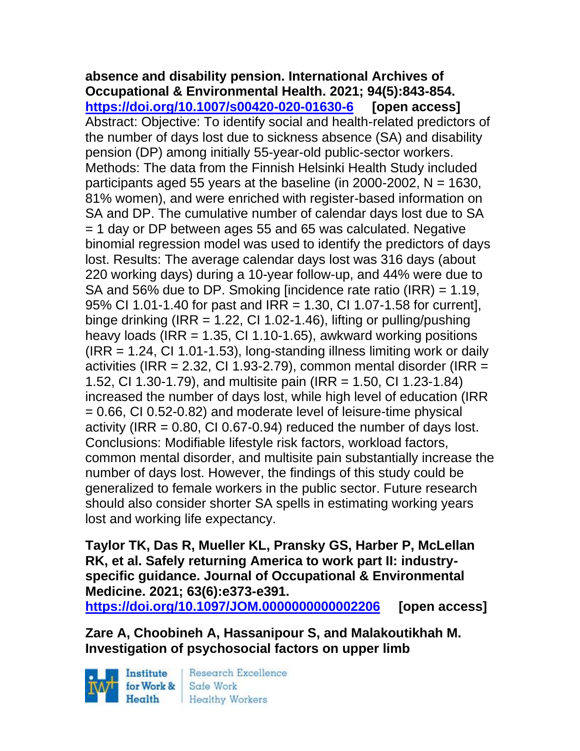**absence and disability pension. International Archives of Occupational & Environmental Health. 2021; 94(5):843-854. <https://doi.org/10.1007/s00420-020-01630-6> [open access]** Abstract: Objective: To identify social and health-related predictors of the number of days lost due to sickness absence (SA) and disability pension (DP) among initially 55-year-old public-sector workers. Methods: The data from the Finnish Helsinki Health Study included participants aged 55 years at the baseline (in 2000-2002,  $N = 1630$ , 81% women), and were enriched with register-based information on SA and DP. The cumulative number of calendar days lost due to SA = 1 day or DP between ages 55 and 65 was calculated. Negative binomial regression model was used to identify the predictors of days lost. Results: The average calendar days lost was 316 days (about 220 working days) during a 10-year follow-up, and 44% were due to SA and 56% due to DP. Smoking [incidence rate ratio (IRR) = 1.19, 95% CI 1.01-1.40 for past and IRR = 1.30, CI 1.07-1.58 for current], binge drinking (IRR = 1.22, CI 1.02-1.46), lifting or pulling/pushing heavy loads (IRR = 1.35, CI 1.10-1.65), awkward working positions  $(IRR = 1.24, CI 1.01-1.53)$ , long-standing illness limiting work or daily activities (IRR = 2.32, CI 1.93-2.79), common mental disorder (IRR = 1.52, CI 1.30-1.79), and multisite pain (IRR = 1.50, CI 1.23-1.84) increased the number of days lost, while high level of education (IRR = 0.66, CI 0.52-0.82) and moderate level of leisure-time physical activity (IRR  $= 0.80$ , CI 0.67-0.94) reduced the number of days lost. Conclusions: Modifiable lifestyle risk factors, workload factors, common mental disorder, and multisite pain substantially increase the number of days lost. However, the findings of this study could be generalized to female workers in the public sector. Future research should also consider shorter SA spells in estimating working years lost and working life expectancy.

**Taylor TK, Das R, Mueller KL, Pransky GS, Harber P, McLellan RK, et al. Safely returning America to work part II: industryspecific guidance. Journal of Occupational & Environmental Medicine. 2021; 63(6):e373-e391.** 

**<https://doi.org/10.1097/JOM.0000000000002206> [open access]**

**Zare A, Choobineh A, Hassanipour S, and Malakoutikhah M. Investigation of psychosocial factors on upper limb**